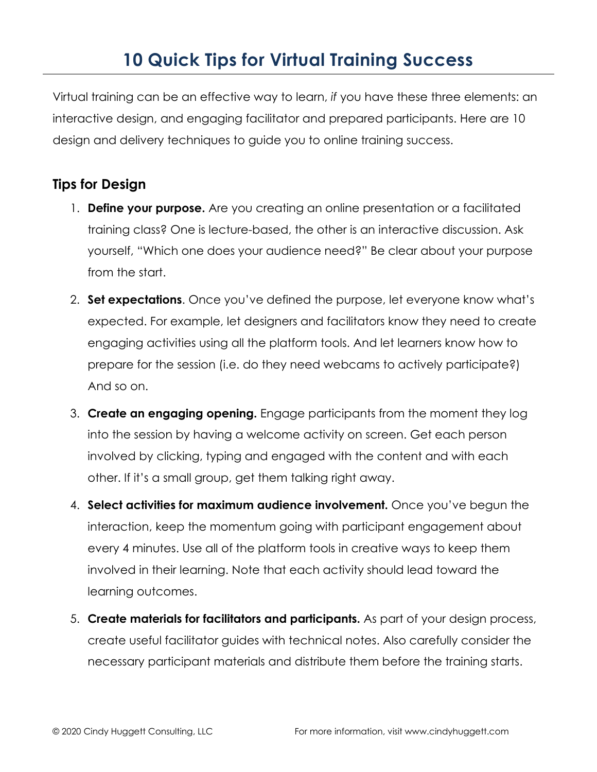## **10 Quick Tips for Virtual Training Success**

Virtual training can be an effective way to learn, *if* you have these three elements: an interactive design, and engaging facilitator and prepared participants. Here are 10 design and delivery techniques to guide you to online training success.

## **Tips for Design**

- 1. **Define your purpose.** Are you creating an online presentation or a facilitated training class? One is lecture-based, the other is an interactive discussion. Ask yourself, "Which one does your audience need?" Be clear about your purpose from the start.
- 2. **Set expectations**. Once you've defined the purpose, let everyone know what's expected. For example, let designers and facilitators know they need to create engaging activities using all the platform tools. And let learners know how to prepare for the session (i.e. do they need webcams to actively participate?) And so on.
- 3. **Create an engaging opening.** Engage participants from the moment they log into the session by having a welcome activity on screen. Get each person involved by clicking, typing and engaged with the content and with each other. If it's a small group, get them talking right away.
- 4. **Select activities for maximum audience involvement.** Once you've begun the interaction, keep the momentum going with participant engagement about every 4 minutes. Use all of the platform tools in creative ways to keep them involved in their learning. Note that each activity should lead toward the learning outcomes.
- 5. **Create materials for facilitators and participants.** As part of your design process, create useful facilitator guides with technical notes. Also carefully consider the necessary participant materials and distribute them before the training starts.